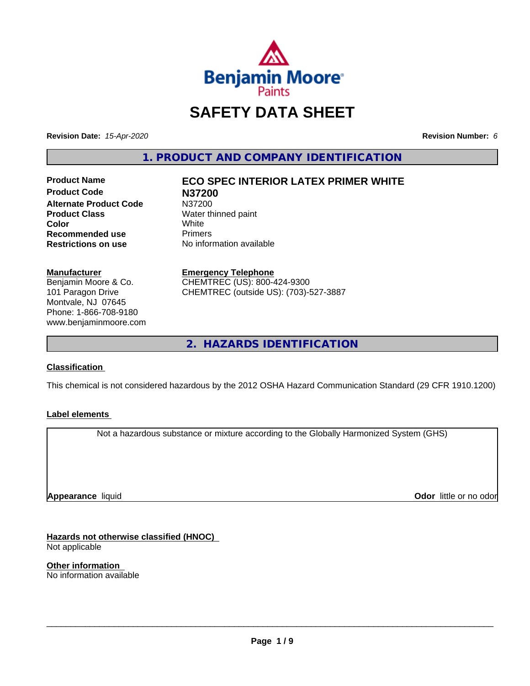

# **SAFETY DATA SHEET**

**Revision Date:** *15-Apr-2020* **Revision Number:** *6*

**1. PRODUCT AND COMPANY IDENTIFICATION**

**Product Name ECO SPEC INTERIOR LATEX PRIMER WHITE Product Code N37200 Alternate Product Code** N37200<br> **Product Class** Water th **Recommended use The Primers<br>
<b>Restrictions on use** No infor

**Water thinned paint**<br>White **Color** White White **No information available** 

**Manufacturer**

Benjamin Moore & Co. 101 Paragon Drive Montvale, NJ 07645 Phone: 1-866-708-9180 www.benjaminmoore.com

#### **Emergency Telephone**

CHEMTREC (US): 800-424-9300 CHEMTREC (outside US): (703)-527-3887

**2. HAZARDS IDENTIFICATION**

#### **Classification**

This chemical is not considered hazardous by the 2012 OSHA Hazard Communication Standard (29 CFR 1910.1200)

#### **Label elements**

Not a hazardous substance or mixture according to the Globally Harmonized System (GHS)

**Appearance** liquid

**Odor** little or no odor

**Hazards not otherwise classified (HNOC)** Not applicable

**Other information** No information available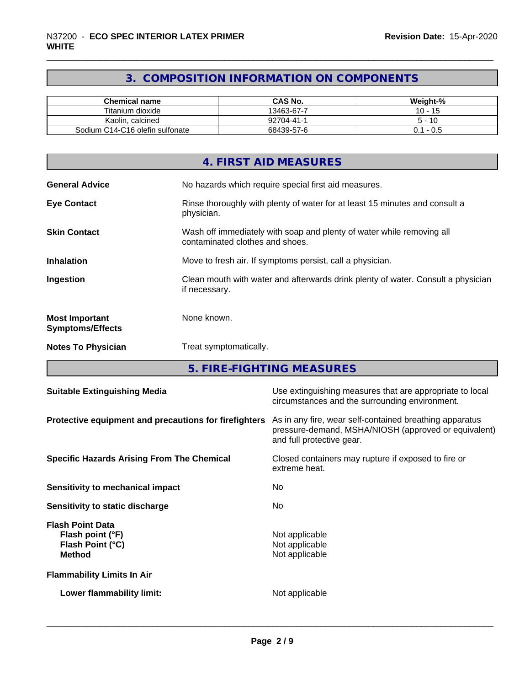#### **3. COMPOSITION INFORMATION ON COMPONENTS**

| <b>Chemical name</b>            | <b>CAS No.</b> | Weight-%      |
|---------------------------------|----------------|---------------|
| Titanium dioxide                | 13463-67-7     | $10 -$<br>-15 |
| Kaolin, calcined                | 92704-41-1     | - 10          |
| Sodium C14-C16 olefin sulfonate | 68439-57-6     | - 0.5         |

|                                                  | 4. FIRST AID MEASURES                                                                                    |
|--------------------------------------------------|----------------------------------------------------------------------------------------------------------|
| <b>General Advice</b>                            | No hazards which require special first aid measures.                                                     |
| <b>Eye Contact</b>                               | Rinse thoroughly with plenty of water for at least 15 minutes and consult a<br>physician.                |
| <b>Skin Contact</b>                              | Wash off immediately with soap and plenty of water while removing all<br>contaminated clothes and shoes. |
| <b>Inhalation</b>                                | Move to fresh air. If symptoms persist, call a physician.                                                |
| Ingestion                                        | Clean mouth with water and afterwards drink plenty of water. Consult a physician<br>if necessary.        |
| <b>Most Important</b><br><b>Symptoms/Effects</b> | None known.                                                                                              |
| <b>Notes To Physician</b>                        | Treat symptomatically.                                                                                   |

**5. FIRE-FIGHTING MEASURES**

| <b>Suitable Extinguishing Media</b>                                              | Use extinguishing measures that are appropriate to local<br>circumstances and the surrounding environment.                                   |
|----------------------------------------------------------------------------------|----------------------------------------------------------------------------------------------------------------------------------------------|
| Protective equipment and precautions for firefighters                            | As in any fire, wear self-contained breathing apparatus<br>pressure-demand, MSHA/NIOSH (approved or equivalent)<br>and full protective gear. |
| <b>Specific Hazards Arising From The Chemical</b>                                | Closed containers may rupture if exposed to fire or<br>extreme heat.                                                                         |
| Sensitivity to mechanical impact                                                 | No.                                                                                                                                          |
| Sensitivity to static discharge                                                  | No.                                                                                                                                          |
| <b>Flash Point Data</b><br>Flash point (°F)<br>Flash Point (°C)<br><b>Method</b> | Not applicable<br>Not applicable<br>Not applicable                                                                                           |
| <b>Flammability Limits In Air</b>                                                |                                                                                                                                              |
| Lower flammability limit:                                                        | Not applicable                                                                                                                               |
|                                                                                  |                                                                                                                                              |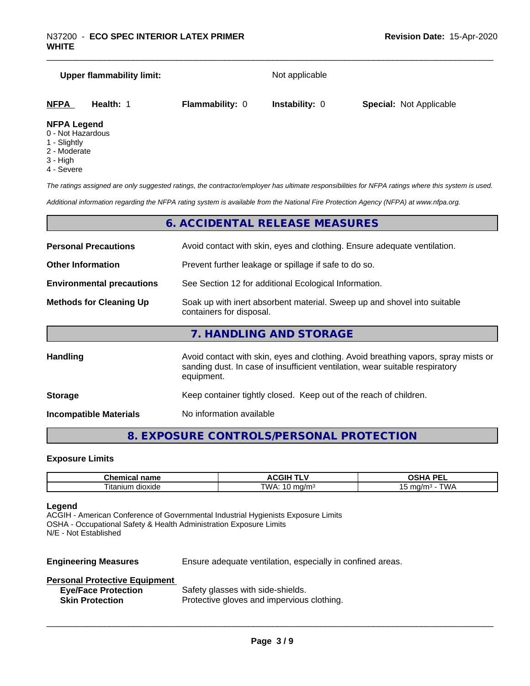# **Upper flammability limit:** Not applicable **NFPA Health:** 1 **Flammability:** 0 **Instability:** 0 **Special:** Not Applicable

#### **NFPA Legend**

- 0 Not Hazardous
- 1 Slightly
- 2 Moderate
- 3 High
- 4 Severe

*The ratings assigned are only suggested ratings, the contractor/employer has ultimate responsibilities for NFPA ratings where this system is used.*

*Additional information regarding the NFPA rating system is available from the National Fire Protection Agency (NFPA) at www.nfpa.org.*

#### **6. ACCIDENTAL RELEASE MEASURES**

| <b>Personal Precautions</b>      | Avoid contact with skin, eyes and clothing. Ensure adequate ventilation.                                                                                                         |  |  |
|----------------------------------|----------------------------------------------------------------------------------------------------------------------------------------------------------------------------------|--|--|
| <b>Other Information</b>         | Prevent further leakage or spillage if safe to do so.                                                                                                                            |  |  |
| <b>Environmental precautions</b> | See Section 12 for additional Ecological Information.                                                                                                                            |  |  |
| <b>Methods for Cleaning Up</b>   | Soak up with inert absorbent material. Sweep up and shovel into suitable<br>containers for disposal.                                                                             |  |  |
|                                  | 7. HANDLING AND STORAGE                                                                                                                                                          |  |  |
| <b>Handling</b>                  | Avoid contact with skin, eyes and clothing. Avoid breathing vapors, spray mists or<br>sanding dust. In case of insufficient ventilation, wear suitable respiratory<br>equipment. |  |  |
| <b>Storage</b>                   | Keep container tightly closed. Keep out of the reach of children.                                                                                                                |  |  |

**Incompatible Materials** No information available

#### **8. EXPOSURE CONTROLS/PERSONAL PROTECTION**

#### **Exposure Limits**

| $ -$                                                                  | .<br>. .               | <b>DEI</b><br>$\mathbf{r}$<br>--         |
|-----------------------------------------------------------------------|------------------------|------------------------------------------|
| $\overline{\phantom{a}}$<br>∣ita<br>$\sim$<br>dioxide<br>יי<br>,,,,,, | <b>TWA</b><br>.<br>. . | $\overline{\phantom{a}}$<br>$M_{\rm{L}}$ |

#### **Legend**

ACGIH - American Conference of Governmental Industrial Hygienists Exposure Limits OSHA - Occupational Safety & Health Administration Exposure Limits N/E - Not Established

**Engineering Measures** Ensure adequate ventilation, especially in confined areas.

 $\overline{\phantom{a}}$  ,  $\overline{\phantom{a}}$  ,  $\overline{\phantom{a}}$  ,  $\overline{\phantom{a}}$  ,  $\overline{\phantom{a}}$  ,  $\overline{\phantom{a}}$  ,  $\overline{\phantom{a}}$  ,  $\overline{\phantom{a}}$  ,  $\overline{\phantom{a}}$  ,  $\overline{\phantom{a}}$  ,  $\overline{\phantom{a}}$  ,  $\overline{\phantom{a}}$  ,  $\overline{\phantom{a}}$  ,  $\overline{\phantom{a}}$  ,  $\overline{\phantom{a}}$  ,  $\overline{\phantom{a}}$ 

#### **Personal Protective Equipment**

| <b>Eye/Face Protection</b> | Safety glasses with side-shields.          |
|----------------------------|--------------------------------------------|
| <b>Skin Protection</b>     | Protective gloves and impervious clothing. |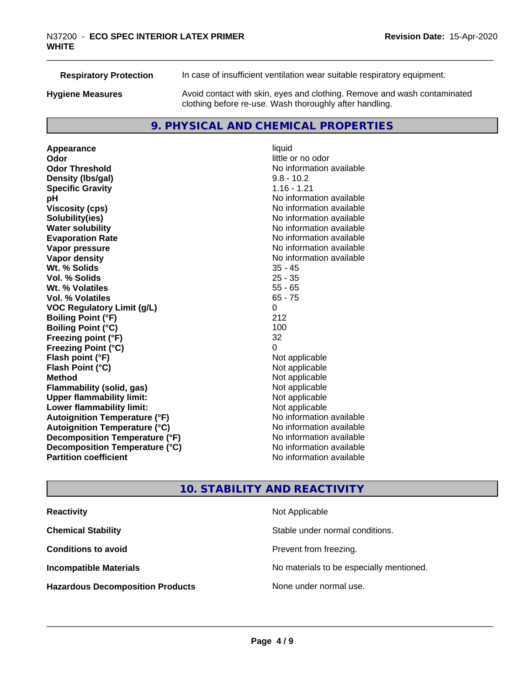| <b>Respiratory Protection</b> | In case of insufficient ventilation wear suitable respiratory equipment.                                                            |
|-------------------------------|-------------------------------------------------------------------------------------------------------------------------------------|
| <b>Hygiene Measures</b>       | Avoid contact with skin, eyes and clothing. Remove and wash contaminated<br>clothing before re-use. Wash thoroughly after handling. |

#### **9. PHYSICAL AND CHEMICAL PROPERTIES**

**Appearance** liquid<br> **Appearance** liquid<br> **Odor Odor Odor** little or no odor<br> **Odor Threshold Containery of the Containery of the Containery of the Containery of the Containery of the Containery of the Containery of the Containery of the Containery of the Container Density (lbs/gal)** 9.8 - 10.2 **Specific Gravity** 1.16 - 1.21 **pH** No information available **Viscosity (cps)** No information available **Solubility(ies)**<br> **Solubility**<br> **Water solubility**<br> **Water solubility Evaporation Rate No information available No information available Vapor pressure** No information available **Vapor density No information available No** information available **Wt. % Solids** 35 - 45 **Vol. % Solids Wt. % Volatiles** 55 - 65 **Vol. % Volatiles** 65 - 75 **VOC Regulatory Limit (g/L)** 0 **Boiling Point (°F)** 212 **Boiling Point (°C)** 100 **Freezing point (°F)** 32 **Freezing Point (°C)**<br> **Flash point (°F)**<br> **Flash point (°F)**<br> **Point (°F)**<br> **Point (°F)**<br> **Point (°F)**<br> **Point (°F) Flash point (°F)**<br> **Flash Point (°C)**<br> **Flash Point (°C)**<br> **C Flash Point (°C) Method**<br> **Flammability (solid, gas)**<br> **Example 2018** Not applicable **Flammability (solid, gas)** Not applicable<br> **Upper flammability limit:** Not applicable **Upper flammability limit: Lower flammability limit:**<br> **Autoignition Temperature (°F)** Not applicable havailable available **Autoignition Temperature (°F) Autoignition Temperature (°C)** No information available **Decomposition Temperature (°F)** No information available **Decomposition Temperature (°C)** No information available **Partition coefficient Contract Contract Contract Contract Contract Contract Contract Contract Contract Contract Contract Contract Contract Contract Contract Contract Contract Contract Contract Contract Contract Contract** 

**No information available No information available** 

#### **10. STABILITY AND REACTIVITY**

| <b>Reactivity</b>                       | Not Applicable                           |
|-----------------------------------------|------------------------------------------|
| <b>Chemical Stability</b>               | Stable under normal conditions.          |
| <b>Conditions to avoid</b>              | Prevent from freezing.                   |
| <b>Incompatible Materials</b>           | No materials to be especially mentioned. |
| <b>Hazardous Decomposition Products</b> | None under normal use.                   |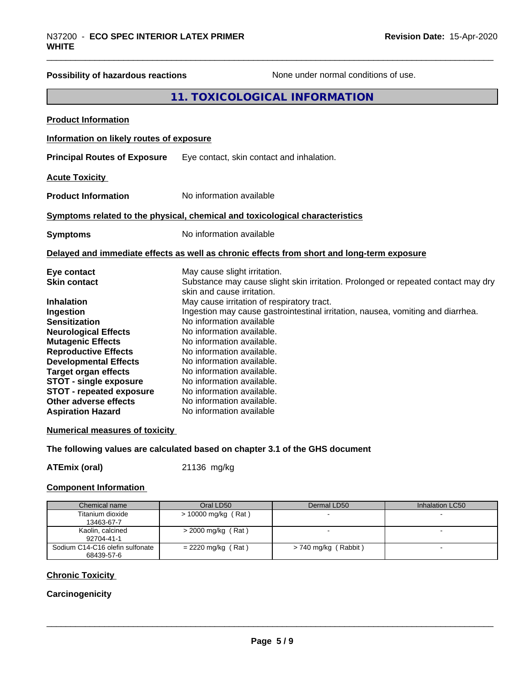# **Possibility of hazardous reactions** None under normal conditions of use.

#### **11. TOXICOLOGICAL INFORMATION**

| <b>Product Information</b>                                                                                                                                                                                                                                                                                                |                                                                                                                                                                                                                                                                                                                                                                                                                                                                                                                         |
|---------------------------------------------------------------------------------------------------------------------------------------------------------------------------------------------------------------------------------------------------------------------------------------------------------------------------|-------------------------------------------------------------------------------------------------------------------------------------------------------------------------------------------------------------------------------------------------------------------------------------------------------------------------------------------------------------------------------------------------------------------------------------------------------------------------------------------------------------------------|
| Information on likely routes of exposure                                                                                                                                                                                                                                                                                  |                                                                                                                                                                                                                                                                                                                                                                                                                                                                                                                         |
| <b>Principal Routes of Exposure</b>                                                                                                                                                                                                                                                                                       | Eye contact, skin contact and inhalation.                                                                                                                                                                                                                                                                                                                                                                                                                                                                               |
| <b>Acute Toxicity</b>                                                                                                                                                                                                                                                                                                     |                                                                                                                                                                                                                                                                                                                                                                                                                                                                                                                         |
| <b>Product Information</b>                                                                                                                                                                                                                                                                                                | No information available                                                                                                                                                                                                                                                                                                                                                                                                                                                                                                |
|                                                                                                                                                                                                                                                                                                                           | Symptoms related to the physical, chemical and toxicological characteristics                                                                                                                                                                                                                                                                                                                                                                                                                                            |
| <b>Symptoms</b>                                                                                                                                                                                                                                                                                                           | No information available                                                                                                                                                                                                                                                                                                                                                                                                                                                                                                |
|                                                                                                                                                                                                                                                                                                                           | Delayed and immediate effects as well as chronic effects from short and long-term exposure                                                                                                                                                                                                                                                                                                                                                                                                                              |
| Eye contact<br><b>Skin contact</b><br><b>Inhalation</b><br>Ingestion<br><b>Sensitization</b><br><b>Neurological Effects</b><br><b>Mutagenic Effects</b><br><b>Reproductive Effects</b><br><b>Developmental Effects</b><br><b>Target organ effects</b><br><b>STOT - single exposure</b><br><b>STOT - repeated exposure</b> | May cause slight irritation.<br>Substance may cause slight skin irritation. Prolonged or repeated contact may dry<br>skin and cause irritation.<br>May cause irritation of respiratory tract.<br>Ingestion may cause gastrointestinal irritation, nausea, vomiting and diarrhea.<br>No information available<br>No information available.<br>No information available.<br>No information available.<br>No information available.<br>No information available.<br>No information available.<br>No information available. |
| Other adverse effects<br><b>Aspiration Hazard</b>                                                                                                                                                                                                                                                                         | No information available.<br>No information available                                                                                                                                                                                                                                                                                                                                                                                                                                                                   |

#### **Numerical measures of toxicity**

#### **The following values are calculated based on chapter 3.1 of the GHS document**

**ATEmix (oral)** 21136 mg/kg

#### **Component Information**

| Chemical name                                 | Oral LD50             | Dermal LD50          | Inhalation LC50 |
|-----------------------------------------------|-----------------------|----------------------|-----------------|
| Titanium dioxide<br>13463-67-7                | $> 10000$ mg/kg (Rat) |                      |                 |
| Kaolin, calcined<br>92704-41-1                | $>$ 2000 mg/kg (Rat)  |                      |                 |
| Sodium C14-C16 olefin sulfonate<br>68439-57-6 | $= 2220$ mg/kg (Rat)  | > 740 mg/kg (Rabbit) |                 |

#### **Chronic Toxicity**

#### **Carcinogenicity**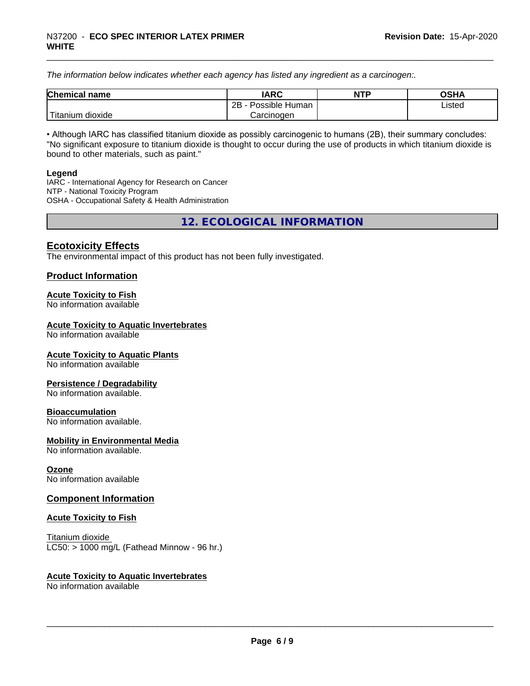*The information below indicateswhether each agency has listed any ingredient as a carcinogen:.*

| <b>Chemical</b><br>name | <b>IARC</b>                    | <b>NTP</b> | <b>OSHA</b> |
|-------------------------|--------------------------------|------------|-------------|
|                         | . .<br>2B<br>Possible<br>Human |            | Listed<br>. |
| dioxide<br>⊺itanium     | Carcinogen                     |            |             |

• Although IARC has classified titanium dioxide as possibly carcinogenic to humans (2B), their summary concludes: "No significant exposure to titanium dioxide is thought to occur during the use of products in which titanium dioxide is bound to other materials, such as paint."

#### **Legend**

IARC - International Agency for Research on Cancer NTP - National Toxicity Program OSHA - Occupational Safety & Health Administration

**12. ECOLOGICAL INFORMATION**

#### **Ecotoxicity Effects**

The environmental impact of this product has not been fully investigated.

#### **Product Information**

#### **Acute Toxicity to Fish**

No information available

#### **Acute Toxicity to Aquatic Invertebrates**

No information available

#### **Acute Toxicity to Aquatic Plants**

No information available

#### **Persistence / Degradability**

No information available.

#### **Bioaccumulation**

No information available.

#### **Mobility in Environmental Media**

No information available.

#### **Ozone**

No information available

#### **Component Information**

#### **Acute Toxicity to Fish**

Titanium dioxide  $LC50:$  > 1000 mg/L (Fathead Minnow - 96 hr.)

#### **Acute Toxicity to Aquatic Invertebrates**

No information available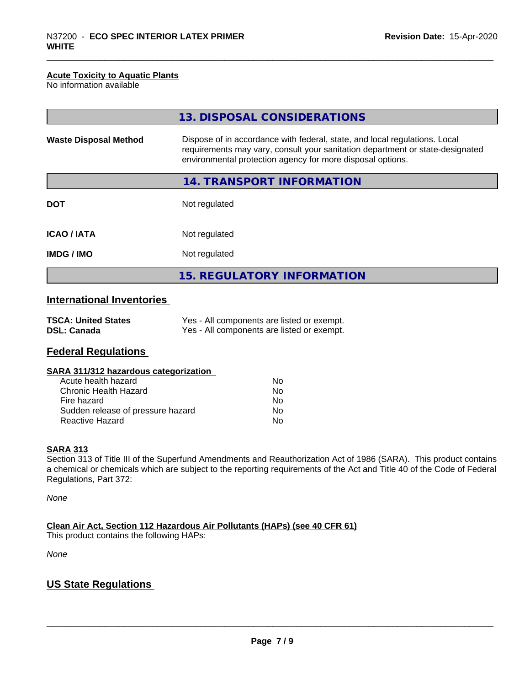#### **Acute Toxicity to Aquatic Plants**

No information available

|                              | 13. DISPOSAL CONSIDERATIONS                                                                                                                                                                                               |
|------------------------------|---------------------------------------------------------------------------------------------------------------------------------------------------------------------------------------------------------------------------|
| <b>Waste Disposal Method</b> | Dispose of in accordance with federal, state, and local regulations. Local<br>requirements may vary, consult your sanitation department or state-designated<br>environmental protection agency for more disposal options. |
|                              | 14. TRANSPORT INFORMATION                                                                                                                                                                                                 |
| <b>DOT</b>                   | Not regulated                                                                                                                                                                                                             |
| <b>ICAO/IATA</b>             | Not regulated                                                                                                                                                                                                             |
| <b>IMDG/IMO</b>              | Not regulated                                                                                                                                                                                                             |
|                              | 15. REGULATORY INFORMATION                                                                                                                                                                                                |

#### **International Inventories**

| <b>TSCA: United States</b> | Yes - All components are listed or exempt. |
|----------------------------|--------------------------------------------|
| <b>DSL: Canada</b>         | Yes - All components are listed or exempt. |

#### **Federal Regulations**

| SARA 311/312 hazardous categorization |    |  |
|---------------------------------------|----|--|
| Acute health hazard                   | Nο |  |
| Chronic Health Hazard                 | Nο |  |
| Fire hazard                           | Nο |  |
| Sudden release of pressure hazard     | N٥ |  |

Reactive Hazard No

#### **SARA 313**

Section 313 of Title III of the Superfund Amendments and Reauthorization Act of 1986 (SARA). This product contains a chemical or chemicals which are subject to the reporting requirements of the Act and Title 40 of the Code of Federal Regulations, Part 372:

*None*

**Clean Air Act,Section 112 Hazardous Air Pollutants (HAPs) (see 40 CFR 61)**

This product contains the following HAPs:

*None*

#### **US State Regulations**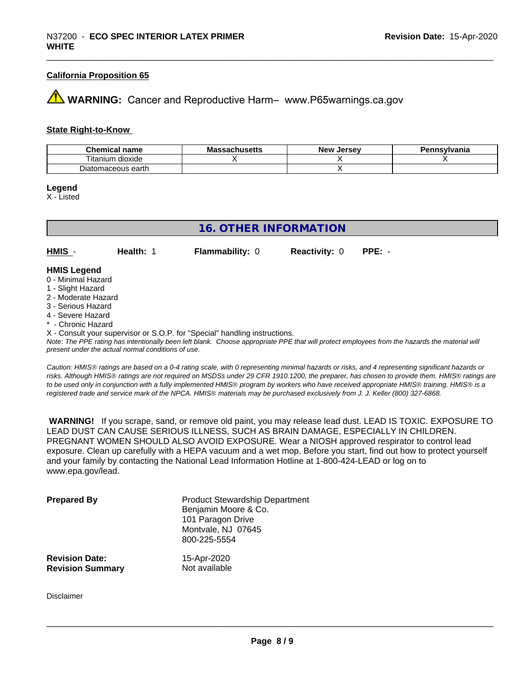#### **California Proposition 65**

### **AN** WARNING: Cancer and Reproductive Harm– www.P65warnings.ca.gov

#### **State Right-to-Know**

| <b>Chemical</b><br>name | Mas<br>sachusetts | <b>Jersev</b><br><b>New</b> | าnsvlvania |
|-------------------------|-------------------|-----------------------------|------------|
| dioxide<br>l itanıum    |                   |                             |            |
| Diatomaceous earth      |                   |                             |            |

**Legend**

X - Listed

| <b>16. OTHER INFORMATION</b> |           |                                                                            |                      |          |  |
|------------------------------|-----------|----------------------------------------------------------------------------|----------------------|----------|--|
|                              |           |                                                                            |                      |          |  |
| HMIS -                       | Health: 1 | <b>Flammability: 0</b>                                                     | <b>Reactivity: 0</b> | $PPE: -$ |  |
| <b>HMIS Legend</b>           |           |                                                                            |                      |          |  |
| 0 - Minimal Hazard           |           |                                                                            |                      |          |  |
| 1 - Slight Hazard            |           |                                                                            |                      |          |  |
| 2 - Moderate Hazard          |           |                                                                            |                      |          |  |
| 3 - Serious Hazard           |           |                                                                            |                      |          |  |
| 4 - Severe Hazard            |           |                                                                            |                      |          |  |
| * - Chronic Hazard           |           |                                                                            |                      |          |  |
|                              |           | X - Consult your supervisor or S.O.P. for "Special" handling instructions. |                      |          |  |

*Note: The PPE rating has intentionally been left blank. Choose appropriate PPE that will protect employees from the hazards the material will present under the actual normal conditions of use.*

*Caution: HMISÒ ratings are based on a 0-4 rating scale, with 0 representing minimal hazards or risks, and 4 representing significant hazards or risks. Although HMISÒ ratings are not required on MSDSs under 29 CFR 1910.1200, the preparer, has chosen to provide them. HMISÒ ratings are to be used only in conjunction with a fully implemented HMISÒ program by workers who have received appropriate HMISÒ training. HMISÒ is a registered trade and service mark of the NPCA. HMISÒ materials may be purchased exclusively from J. J. Keller (800) 327-6868.*

 **WARNING!** If you scrape, sand, or remove old paint, you may release lead dust. LEAD IS TOXIC. EXPOSURE TO LEAD DUST CAN CAUSE SERIOUS ILLNESS, SUCH AS BRAIN DAMAGE, ESPECIALLY IN CHILDREN. PREGNANT WOMEN SHOULD ALSO AVOID EXPOSURE. Wear a NIOSH approved respirator to control lead exposure. Clean up carefully with a HEPA vacuum and a wet mop. Before you start, find out how to protect yourself and your family by contacting the National Lead Information Hotline at 1-800-424-LEAD or log on to www.epa.gov/lead.

| <b>Prepared By</b>      | <b>Product Stewardship Department</b><br>Benjamin Moore & Co.<br>101 Paragon Drive<br>Montvale, NJ 07645<br>800-225-5554 |
|-------------------------|--------------------------------------------------------------------------------------------------------------------------|
| <b>Revision Date:</b>   | 15-Apr-2020                                                                                                              |
| <b>Revision Summary</b> | Not available                                                                                                            |

Disclaimer